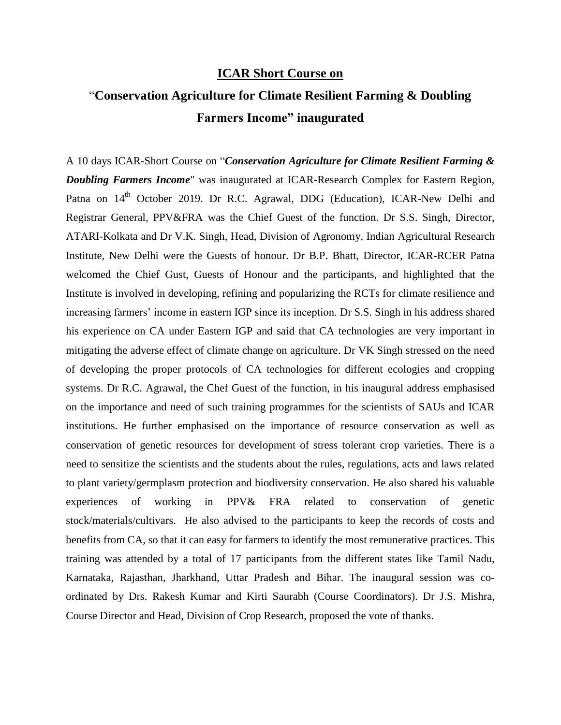## **ICAR Short Course on**

## "**Conservation Agriculture for Climate Resilient Farming & Doubling Farmers Income" inaugurated**

A 10 days ICAR-Short Course on "*Conservation Agriculture for Climate Resilient Farming & Doubling Farmers Income*" was inaugurated at ICAR-Research Complex for Eastern Region, Patna on 14<sup>th</sup> October 2019. Dr R.C. Agrawal, DDG (Education), ICAR-New Delhi and Registrar General, PPV&FRA was the Chief Guest of the function. Dr S.S. Singh, Director, ATARI-Kolkata and Dr V.K. Singh, Head, Division of Agronomy, Indian Agricultural Research Institute, New Delhi were the Guests of honour. Dr B.P. Bhatt, Director, ICAR-RCER Patna welcomed the Chief Gust, Guests of Honour and the participants, and highlighted that the Institute is involved in developing, refining and popularizing the RCTs for climate resilience and increasing farmers' income in eastern IGP since its inception. Dr S.S. Singh in his address shared his experience on CA under Eastern IGP and said that CA technologies are very important in mitigating the adverse effect of climate change on agriculture. Dr VK Singh stressed on the need of developing the proper protocols of CA technologies for different ecologies and cropping systems. Dr R.C. Agrawal, the Chef Guest of the function, in his inaugural address emphasised on the importance and need of such training programmes for the scientists of SAUs and ICAR institutions. He further emphasised on the importance of resource conservation as well as conservation of genetic resources for development of stress tolerant crop varieties. There is a need to sensitize the scientists and the students about the rules, regulations, acts and laws related to plant variety/germplasm protection and biodiversity conservation. He also shared his valuable experiences of working in PPV& FRA related to conservation of genetic stock/materials/cultivars. He also advised to the participants to keep the records of costs and benefits from CA, so that it can easy for farmers to identify the most remunerative practices. This training was attended by a total of 17 participants from the different states like Tamil Nadu, Karnataka, Rajasthan, Jharkhand, Uttar Pradesh and Bihar. The inaugural session was coordinated by Drs. Rakesh Kumar and Kirti Saurabh (Course Coordinators). Dr J.S. Mishra, Course Director and Head, Division of Crop Research, proposed the vote of thanks.